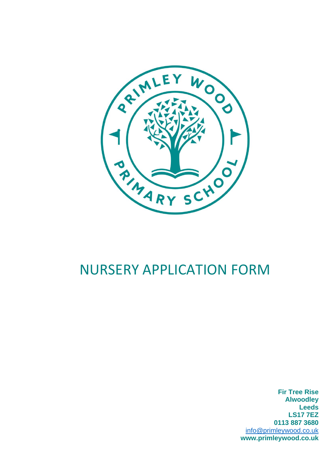

# NURSERY APPLICATION FORM

**Fir Tree Rise Alwoodley Leeds LS17 7EZ 0113 887 3680** [info@primleywood.co.uk](mailto:info@primleywood.co.uk) **www.primleywood.co.uk**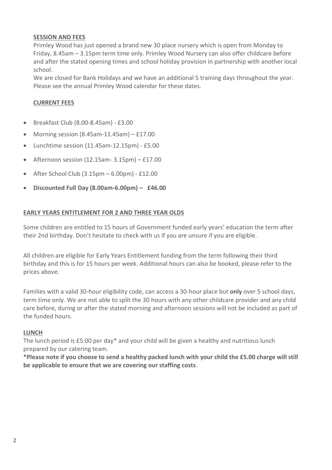#### **SESSION AND FEES**

Primley Wood has just opened a brand new 30 place nursery which is open from Monday to Friday, 8.45am – 3.15pm term time only. Primley Wood Nursery can also offer childcare before and after the stated opening times and school holiday provision in partnership with another local school.

We are closed for Bank Holidays and we have an additional 5 training days throughout the year. Please see the annual Primley Wood calendar for these dates.

#### **CURRENT FEES**

- Breakfast Club (8.00-8.45am) £3.00
- Morning session  $(8.45am-11.45am) £17.00$
- Lunchtime session (11.45am-12.15pm) £5.00
- Afternoon session  $(12.15am 3.15pm) £17.00$
- After School Club  $(3.15 \text{pm} 6.00 \text{pm}) 2.12.00$
- **Discounted Full Day (8.00am-6.00pm) – £46.00**

#### **EARLY YEARS ENTITLEMENT FOR 2 AND THREE YEAR OLDS**

Some children are entitled to 15 hours of Government funded early years' education the term after their 2nd birthday. Don't hesitate to check with us if you are unsure if you are eligible.

All children are eligible for Early Years Entitlement funding from the term following their third birthday and this is for 15 hours per week. Additional hours can also be booked, please refer to the prices above.

Families with a valid 30-hour eligibility code, can access a 30-hour place but **only** over 5 school days, term time only. We are not able to split the 30 hours with any other childcare provider and any child care before, during or after the stated morning and afternoon sessions will not be included as part of the funded hours.

#### **LUNCH**

The lunch period is £5.00 per day\* and your child will be given a healthy and nutritious lunch prepared by our catering team.

**\*Please note if you choose to send a healthy packed lunch with your child the £5.00 charge will still be applicable to ensure that we are covering our staffing costs**.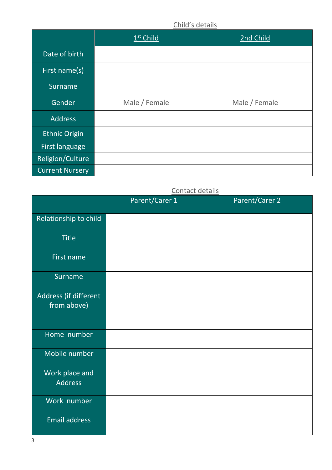## Child's details

|                        | $1st$ Child   | 2nd Child     |
|------------------------|---------------|---------------|
| Date of birth          |               |               |
| First name(s)          |               |               |
| <b>Surname</b>         |               |               |
| Gender                 | Male / Female | Male / Female |
| <b>Address</b>         |               |               |
| <b>Ethnic Origin</b>   |               |               |
| First language         |               |               |
| Religion/Culture       |               |               |
| <b>Current Nursery</b> |               |               |

## Contact details

|                                      | Parent/Carer 1 | Parent/Carer 2 |
|--------------------------------------|----------------|----------------|
| Relationship to child                |                |                |
| <b>Title</b>                         |                |                |
| First name                           |                |                |
| Surname                              |                |                |
| Address (if different<br>from above) |                |                |
| Home number                          |                |                |
| Mobile number                        |                |                |
| Work place and<br><b>Address</b>     |                |                |
| Work number                          |                |                |
| <b>Email address</b>                 |                |                |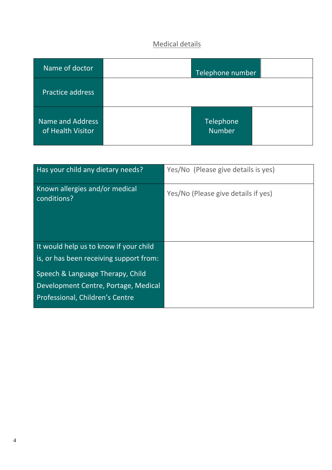# Medical details

| Name of doctor                        | Telephone number           |  |
|---------------------------------------|----------------------------|--|
| <b>Practice address</b>               |                            |  |
| Name and Address<br>of Health Visitor | Telephone<br><b>Number</b> |  |

| Has your child any dietary needs?             | Yes/No (Please give details is yes) |
|-----------------------------------------------|-------------------------------------|
| Known allergies and/or medical<br>conditions? | Yes/No (Please give details if yes) |
| It would help us to know if your child        |                                     |
| is, or has been receiving support from:       |                                     |
| Speech & Language Therapy, Child              |                                     |
| Development Centre, Portage, Medical          |                                     |
| Professional, Children's Centre               |                                     |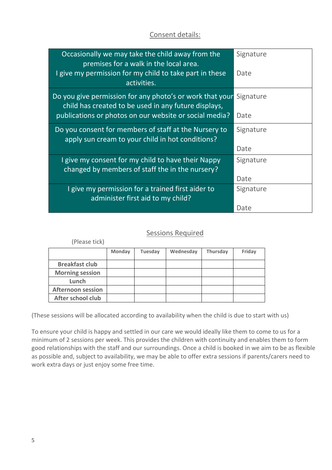## Consent details:

| Occasionally we may take the child away from the<br>premises for a walk in the local area.                       | Signature |
|------------------------------------------------------------------------------------------------------------------|-----------|
| I give my permission for my child to take part in these<br>activities.                                           | Date      |
| Do you give permission for any photo's or work that your<br>child has created to be used in any future displays, | Signature |
| publications or photos on our website or social media?                                                           | Date      |
| Do you consent for members of staff at the Nursery to<br>apply sun cream to your child in hot conditions?        | Signature |
|                                                                                                                  | Date      |
| I give my consent for my child to have their Nappy<br>changed by members of staff the in the nursery?            | Signature |
|                                                                                                                  | Date      |
| I give my permission for a trained first aider to<br>administer first aid to my child?                           | Signature |
|                                                                                                                  | Date      |

## Sessions Required

| (Please tick)            |               |         |           |                 |        |
|--------------------------|---------------|---------|-----------|-----------------|--------|
|                          | <b>Monday</b> | Tuesday | Wednesday | <b>Thursday</b> | Friday |
| <b>Breakfast club</b>    |               |         |           |                 |        |
| <b>Morning session</b>   |               |         |           |                 |        |
| Lunch                    |               |         |           |                 |        |
| <b>Afternoon session</b> |               |         |           |                 |        |
| After school club        |               |         |           |                 |        |

(These sessions will be allocated according to availability when the child is due to start with us)

To ensure your child is happy and settled in our care we would ideally like them to come to us for a minimum of 2 sessions per week. This provides the children with continuity and enables them to form good relationships with the staff and our surroundings. Once a child is booked in we aim to be as flexible as possible and, subject to availability, we may be able to offer extra sessions if parents/carers need to work extra days or just enjoy some free time.